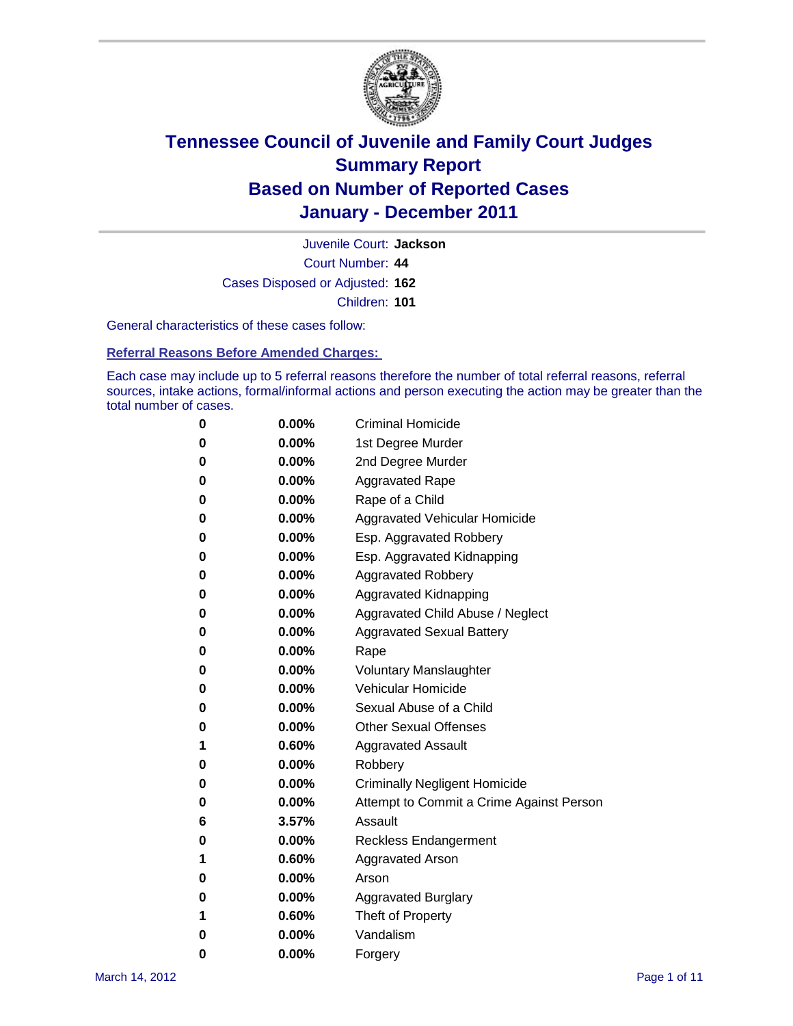

Court Number: **44** Juvenile Court: **Jackson** Cases Disposed or Adjusted: **162** Children: **101**

General characteristics of these cases follow:

**Referral Reasons Before Amended Charges:** 

Each case may include up to 5 referral reasons therefore the number of total referral reasons, referral sources, intake actions, formal/informal actions and person executing the action may be greater than the total number of cases.

| 0 | $0.00\%$ | <b>Criminal Homicide</b>                 |
|---|----------|------------------------------------------|
| 0 | $0.00\%$ | 1st Degree Murder                        |
| 0 | $0.00\%$ | 2nd Degree Murder                        |
| 0 | $0.00\%$ | <b>Aggravated Rape</b>                   |
| 0 | $0.00\%$ | Rape of a Child                          |
| 0 | $0.00\%$ | Aggravated Vehicular Homicide            |
| 0 | $0.00\%$ | Esp. Aggravated Robbery                  |
| 0 | $0.00\%$ | Esp. Aggravated Kidnapping               |
| 0 | $0.00\%$ | <b>Aggravated Robbery</b>                |
| 0 | $0.00\%$ | Aggravated Kidnapping                    |
| 0 | $0.00\%$ | Aggravated Child Abuse / Neglect         |
| 0 | 0.00%    | <b>Aggravated Sexual Battery</b>         |
| 0 | 0.00%    | Rape                                     |
| 0 | $0.00\%$ | <b>Voluntary Manslaughter</b>            |
| 0 | $0.00\%$ | Vehicular Homicide                       |
| 0 | $0.00\%$ | Sexual Abuse of a Child                  |
| 0 | $0.00\%$ | <b>Other Sexual Offenses</b>             |
| 1 | 0.60%    | <b>Aggravated Assault</b>                |
| 0 | $0.00\%$ | Robbery                                  |
| 0 | $0.00\%$ | <b>Criminally Negligent Homicide</b>     |
| 0 | $0.00\%$ | Attempt to Commit a Crime Against Person |
| 6 | 3.57%    | Assault                                  |
| 0 | $0.00\%$ | <b>Reckless Endangerment</b>             |
| 1 | 0.60%    | <b>Aggravated Arson</b>                  |
| 0 | $0.00\%$ | Arson                                    |
| 0 | $0.00\%$ | <b>Aggravated Burglary</b>               |
| 1 | 0.60%    | Theft of Property                        |
| 0 | $0.00\%$ | Vandalism                                |
| 0 | 0.00%    | Forgery                                  |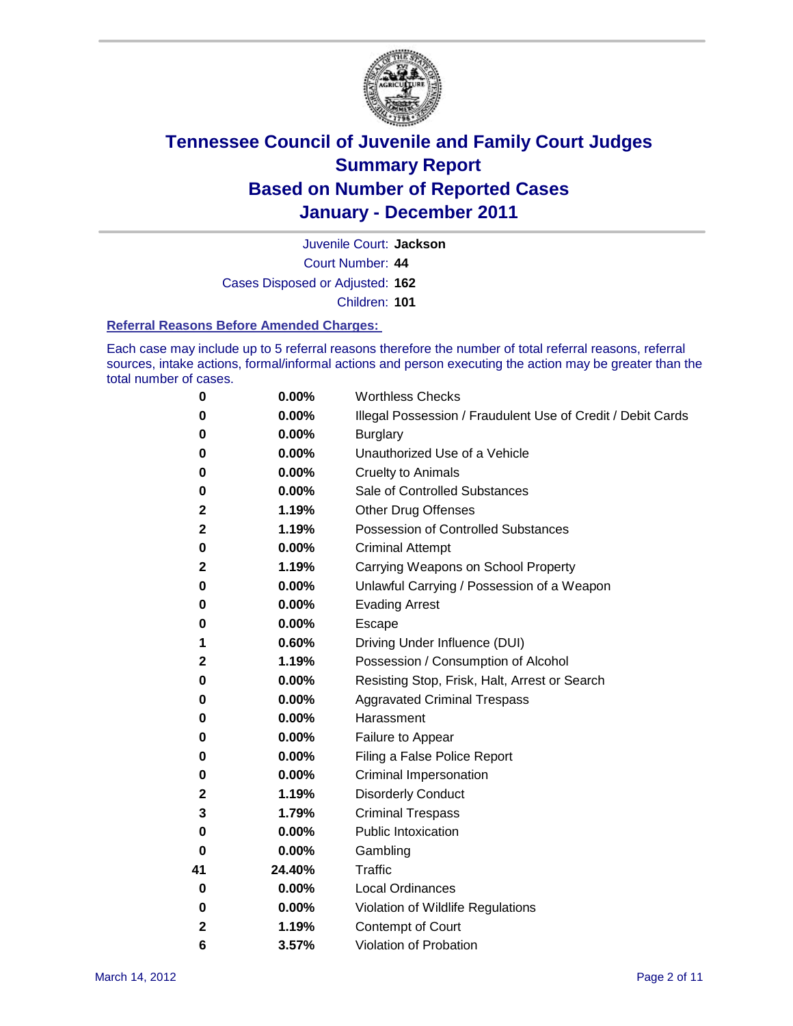

Juvenile Court: **Jackson**

Court Number: **44**

Cases Disposed or Adjusted: **162**

Children: **101**

#### **Referral Reasons Before Amended Charges:**

Each case may include up to 5 referral reasons therefore the number of total referral reasons, referral sources, intake actions, formal/informal actions and person executing the action may be greater than the total number of cases.

| 0  | 0.00%  | <b>Worthless Checks</b>                                     |
|----|--------|-------------------------------------------------------------|
| 0  | 0.00%  | Illegal Possession / Fraudulent Use of Credit / Debit Cards |
| 0  | 0.00%  | <b>Burglary</b>                                             |
| 0  | 0.00%  | Unauthorized Use of a Vehicle                               |
| 0  | 0.00%  | <b>Cruelty to Animals</b>                                   |
| 0  | 0.00%  | Sale of Controlled Substances                               |
| 2  | 1.19%  | <b>Other Drug Offenses</b>                                  |
| 2  | 1.19%  | <b>Possession of Controlled Substances</b>                  |
| 0  | 0.00%  | <b>Criminal Attempt</b>                                     |
| 2  | 1.19%  | Carrying Weapons on School Property                         |
| 0  | 0.00%  | Unlawful Carrying / Possession of a Weapon                  |
| 0  | 0.00%  | <b>Evading Arrest</b>                                       |
| 0  | 0.00%  | Escape                                                      |
| 1  | 0.60%  | Driving Under Influence (DUI)                               |
| 2  | 1.19%  | Possession / Consumption of Alcohol                         |
| 0  | 0.00%  | Resisting Stop, Frisk, Halt, Arrest or Search               |
| 0  | 0.00%  | <b>Aggravated Criminal Trespass</b>                         |
| 0  | 0.00%  | Harassment                                                  |
| 0  | 0.00%  | Failure to Appear                                           |
| 0  | 0.00%  | Filing a False Police Report                                |
| 0  | 0.00%  | Criminal Impersonation                                      |
| 2  | 1.19%  | <b>Disorderly Conduct</b>                                   |
| 3  | 1.79%  | <b>Criminal Trespass</b>                                    |
| 0  | 0.00%  | <b>Public Intoxication</b>                                  |
| 0  | 0.00%  | Gambling                                                    |
| 41 | 24.40% | <b>Traffic</b>                                              |
| 0  | 0.00%  | <b>Local Ordinances</b>                                     |
| 0  | 0.00%  | Violation of Wildlife Regulations                           |
| 2  | 1.19%  | Contempt of Court                                           |
| 6  | 3.57%  | Violation of Probation                                      |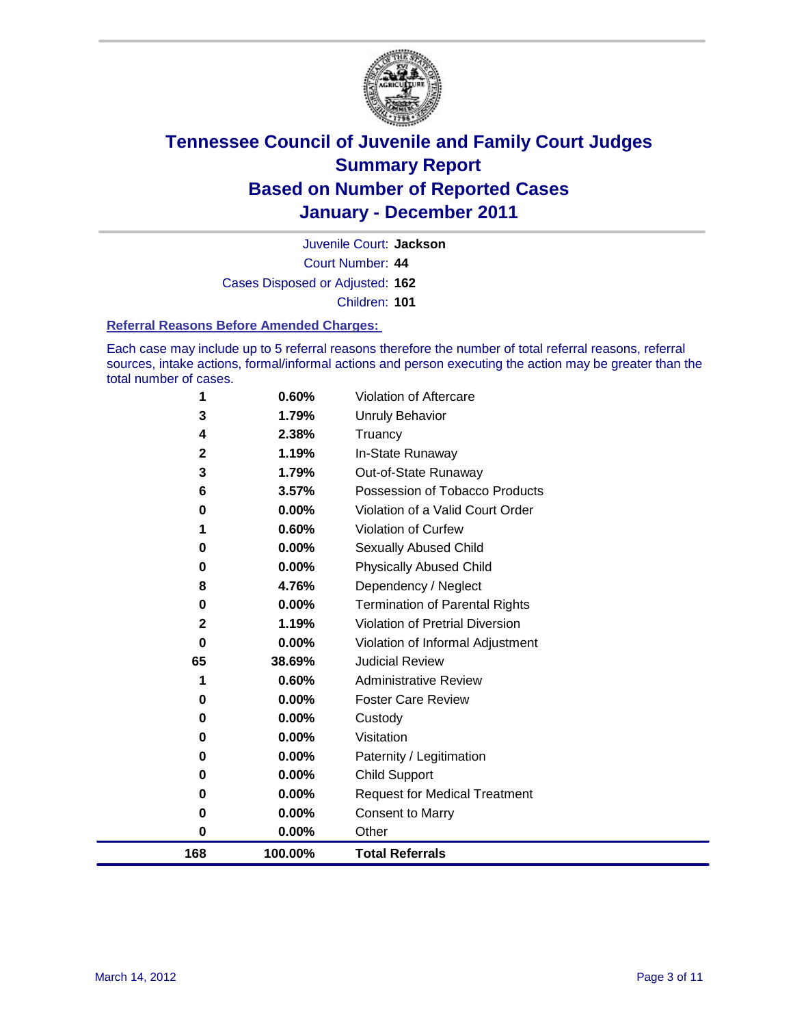

Court Number: **44** Juvenile Court: **Jackson** Cases Disposed or Adjusted: **162** Children: **101**

#### **Referral Reasons Before Amended Charges:**

Each case may include up to 5 referral reasons therefore the number of total referral reasons, referral sources, intake actions, formal/informal actions and person executing the action may be greater than the total number of cases.

| 168               | 100.00%        | <b>Total Referrals</b>                 |
|-------------------|----------------|----------------------------------------|
| 0                 | 0.00%          | Other                                  |
| 0                 | 0.00%          | <b>Consent to Marry</b>                |
| 0                 | 0.00%          | <b>Request for Medical Treatment</b>   |
| 0                 | 0.00%          | <b>Child Support</b>                   |
| 0                 | 0.00%          | Paternity / Legitimation               |
| 0                 | 0.00%          | Visitation                             |
| 0                 | 0.00%          | Custody                                |
| 0                 | 0.00%          | <b>Foster Care Review</b>              |
| 1                 | 0.60%          | <b>Administrative Review</b>           |
| 65                | 38.69%         | <b>Judicial Review</b>                 |
| 0                 | 0.00%          | Violation of Informal Adjustment       |
| $\mathbf{2}$      | 1.19%          | <b>Violation of Pretrial Diversion</b> |
| 0                 | 0.00%          | <b>Termination of Parental Rights</b>  |
| 8                 | 4.76%          | Dependency / Neglect                   |
| 0                 | 0.00%          | <b>Physically Abused Child</b>         |
| 0                 | 0.00%          | <b>Sexually Abused Child</b>           |
| 1                 | 0.60%          | <b>Violation of Curfew</b>             |
| 0                 | 0.00%          | Violation of a Valid Court Order       |
| 6                 | 3.57%          | Possession of Tobacco Products         |
| 3                 | 1.79%          | Out-of-State Runaway                   |
| 4<br>$\mathbf{2}$ | 2.38%<br>1.19% | Truancy<br>In-State Runaway            |
| 3                 | 1.79%          | <b>Unruly Behavior</b>                 |
|                   |                |                                        |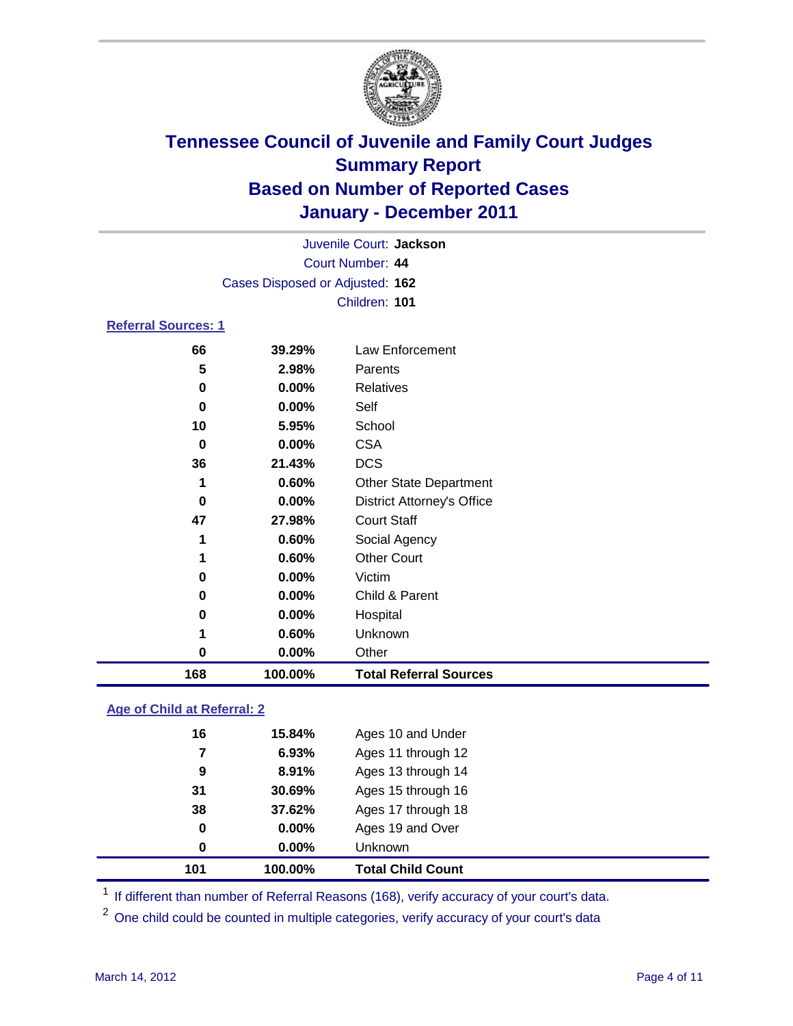

|                                 |          | Juvenile Court: Jackson           |  |  |  |
|---------------------------------|----------|-----------------------------------|--|--|--|
| Court Number: 44                |          |                                   |  |  |  |
| Cases Disposed or Adjusted: 162 |          |                                   |  |  |  |
|                                 |          | Children: 101                     |  |  |  |
| <b>Referral Sources: 1</b>      |          |                                   |  |  |  |
| 66                              | 39.29%   | Law Enforcement                   |  |  |  |
| 5                               | 2.98%    | Parents                           |  |  |  |
| 0                               | 0.00%    | Relatives                         |  |  |  |
| 0                               | 0.00%    | Self                              |  |  |  |
| 10                              | 5.95%    | School                            |  |  |  |
| 0                               | 0.00%    | <b>CSA</b>                        |  |  |  |
| 36                              | 21.43%   | <b>DCS</b>                        |  |  |  |
| 1                               | 0.60%    | <b>Other State Department</b>     |  |  |  |
| 0                               | $0.00\%$ | <b>District Attorney's Office</b> |  |  |  |
| 47                              | 27.98%   | <b>Court Staff</b>                |  |  |  |
| 1                               | 0.60%    | Social Agency                     |  |  |  |
| 1                               | 0.60%    | <b>Other Court</b>                |  |  |  |
| 0                               | 0.00%    | Victim                            |  |  |  |
| 0                               | $0.00\%$ | Child & Parent                    |  |  |  |
| 0                               | 0.00%    | Hospital                          |  |  |  |
| 1                               | 0.60%    | Unknown                           |  |  |  |

 **0.00%** Other **100.00% Total Referral Sources**

### **Age of Child at Referral: 2**

| 101 | 100.00% | <b>Total Child Count</b> |
|-----|---------|--------------------------|
| 0   | 0.00%   | <b>Unknown</b>           |
| 0   | 0.00%   | Ages 19 and Over         |
| 38  | 37.62%  | Ages 17 through 18       |
| 31  | 30.69%  | Ages 15 through 16       |
| 9   | 8.91%   | Ages 13 through 14       |
| 7   | 6.93%   | Ages 11 through 12       |
| 16  | 15.84%  | Ages 10 and Under        |
|     |         |                          |

<sup>1</sup> If different than number of Referral Reasons (168), verify accuracy of your court's data.

<sup>2</sup> One child could be counted in multiple categories, verify accuracy of your court's data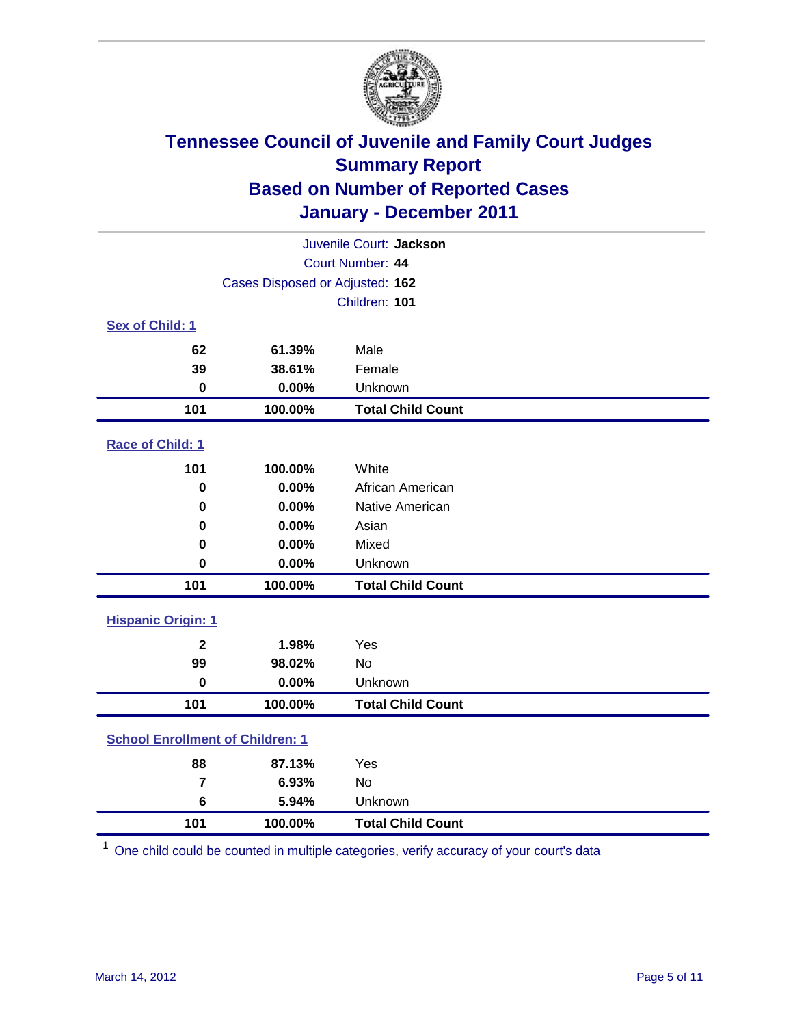

| Juvenile Court: Jackson                 |                                 |                          |  |  |  |
|-----------------------------------------|---------------------------------|--------------------------|--|--|--|
|                                         | Court Number: 44                |                          |  |  |  |
|                                         | Cases Disposed or Adjusted: 162 |                          |  |  |  |
|                                         |                                 | Children: 101            |  |  |  |
| Sex of Child: 1                         |                                 |                          |  |  |  |
| 62                                      | 61.39%                          | Male                     |  |  |  |
| 39                                      | 38.61%                          | Female                   |  |  |  |
| $\mathbf 0$                             | 0.00%                           | Unknown                  |  |  |  |
| 101                                     | 100.00%                         | <b>Total Child Count</b> |  |  |  |
| Race of Child: 1                        |                                 |                          |  |  |  |
| 101                                     | 100.00%                         | White                    |  |  |  |
| $\mathbf 0$                             | 0.00%                           | African American         |  |  |  |
| 0                                       | 0.00%                           | Native American          |  |  |  |
| 0                                       | 0.00%                           | Asian                    |  |  |  |
| 0                                       | 0.00%                           | Mixed                    |  |  |  |
| $\mathbf 0$                             | 0.00%                           | Unknown                  |  |  |  |
| 101                                     | 100.00%                         | <b>Total Child Count</b> |  |  |  |
| <b>Hispanic Origin: 1</b>               |                                 |                          |  |  |  |
| $\mathbf{2}$                            | 1.98%                           | Yes                      |  |  |  |
| 99                                      | 98.02%                          | No                       |  |  |  |
| $\mathbf 0$                             | 0.00%                           | Unknown                  |  |  |  |
| 101                                     | 100.00%                         | <b>Total Child Count</b> |  |  |  |
| <b>School Enrollment of Children: 1</b> |                                 |                          |  |  |  |
| 88                                      | 87.13%                          | Yes                      |  |  |  |
| $\overline{\mathbf{r}}$                 | 6.93%                           | No                       |  |  |  |
| 6                                       | 5.94%                           | Unknown                  |  |  |  |
| 101                                     | 100.00%                         | <b>Total Child Count</b> |  |  |  |

One child could be counted in multiple categories, verify accuracy of your court's data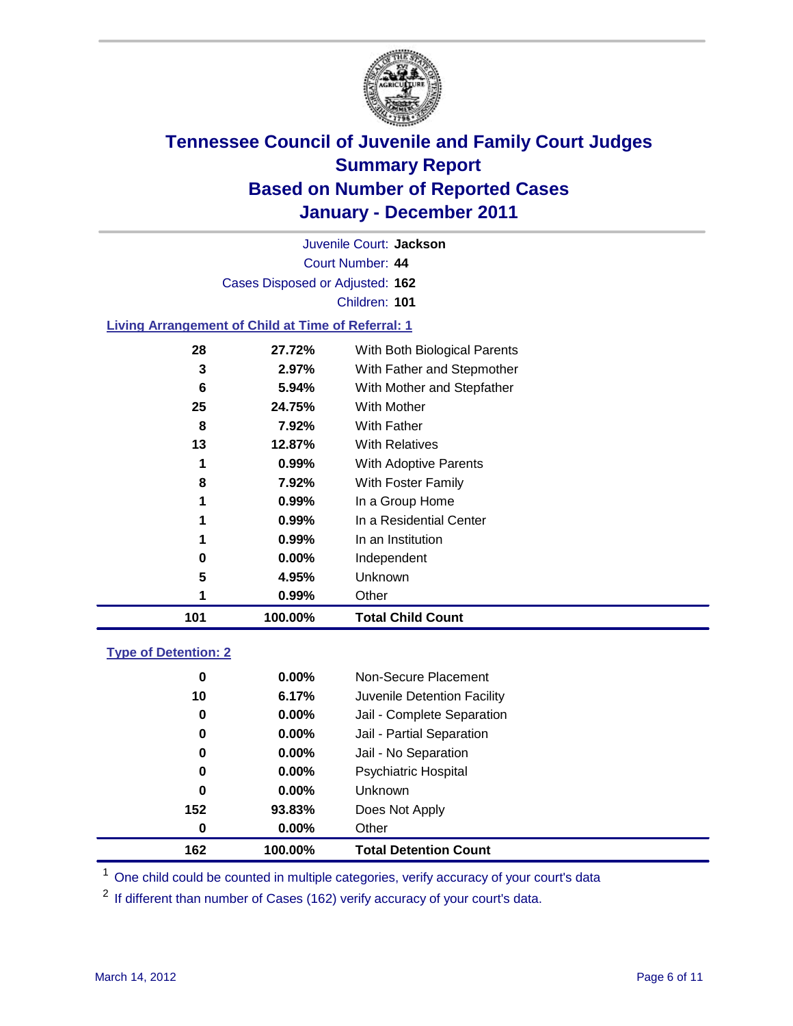

Court Number: **44** Juvenile Court: **Jackson** Cases Disposed or Adjusted: **162** Children: **101 Living Arrangement of Child at Time of Referral: 1 27.72%** With Both Biological Parents

| 101 | 100.00%              | <b>Total Child Count</b>               |
|-----|----------------------|----------------------------------------|
| 1   | 0.99%                | Other                                  |
| 5   | 4.95%                | Unknown                                |
| 0   | $0.00\%$             | Independent                            |
|     | $0.99\%$             | In an Institution                      |
| 1   | 0.99%                | In a Residential Center                |
| 1   | 0.99%                | In a Group Home                        |
| 8   | 7.92%                | <b>With Foster Family</b>              |
| 1   | 0.99%                | With Adoptive Parents                  |
| 13  | 12.87%               | <b>With Relatives</b>                  |
| 8   | 7.92%                | <b>With Father</b>                     |
| 25  | 24.75%               | <b>With Mother</b>                     |
| 6   | 5.94%                | With Mother and Stepfather             |
| 3   | 2.97%                | With Father and Stepmother             |
| 20  | <i><b>ZI.IZ%</b></i> | <i>VVIIII BOIII BIOIOGICAI PATENIS</i> |

### **Type of Detention: 2**

| 162 | 100.00%                 | <b>Total Detention Count</b> |
|-----|-------------------------|------------------------------|
|     | $0.00\%$<br>0           | Other                        |
| 152 | 93.83%                  | Does Not Apply               |
|     | $\mathbf 0$<br>$0.00\%$ | Unknown                      |
|     | 0.00%<br>0              | Psychiatric Hospital         |
|     | 0<br>0.00%              | Jail - No Separation         |
|     | 0<br>$0.00\%$           | Jail - Partial Separation    |
|     | $0.00\%$<br>0           | Jail - Complete Separation   |
| 10  | 6.17%                   | Juvenile Detention Facility  |
|     | 0<br>$0.00\%$           | Non-Secure Placement         |
|     |                         |                              |

<sup>1</sup> One child could be counted in multiple categories, verify accuracy of your court's data

<sup>2</sup> If different than number of Cases (162) verify accuracy of your court's data.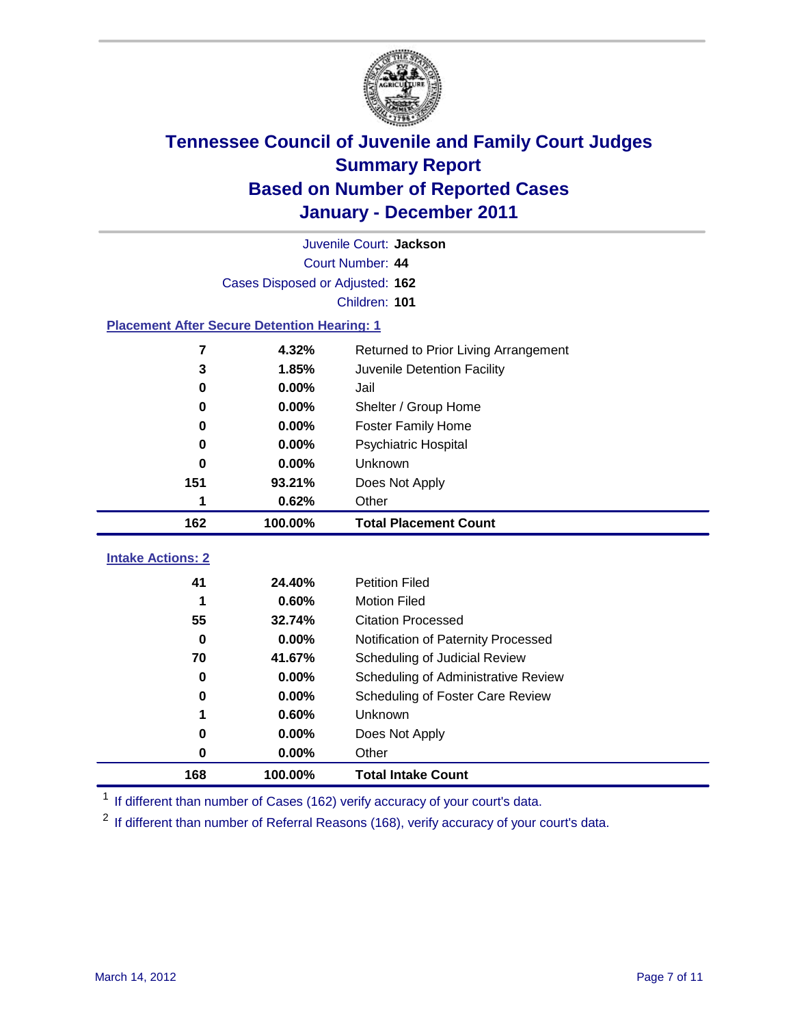

|                                                    | Juvenile Court: Jackson                       |                                                  |  |  |  |  |
|----------------------------------------------------|-----------------------------------------------|--------------------------------------------------|--|--|--|--|
|                                                    | Court Number: 44                              |                                                  |  |  |  |  |
|                                                    | Cases Disposed or Adjusted: 162               |                                                  |  |  |  |  |
|                                                    | Children: 101                                 |                                                  |  |  |  |  |
| <b>Placement After Secure Detention Hearing: 1</b> |                                               |                                                  |  |  |  |  |
| 7                                                  | 4.32%<br>Returned to Prior Living Arrangement |                                                  |  |  |  |  |
| 3                                                  | 1.85%                                         | Juvenile Detention Facility                      |  |  |  |  |
| 0                                                  | 0.00%                                         | Jail                                             |  |  |  |  |
| 0                                                  | 0.00%                                         | Shelter / Group Home                             |  |  |  |  |
| 0                                                  | 0.00%                                         | <b>Foster Family Home</b>                        |  |  |  |  |
| 0                                                  | 0.00%                                         | Psychiatric Hospital                             |  |  |  |  |
| 0                                                  | $0.00\%$                                      | Unknown                                          |  |  |  |  |
| 151                                                | 93.21%                                        | Does Not Apply                                   |  |  |  |  |
| 1                                                  | 0.62%                                         | Other                                            |  |  |  |  |
| 162                                                | 100.00%                                       | <b>Total Placement Count</b>                     |  |  |  |  |
| <b>Intake Actions: 2</b>                           |                                               |                                                  |  |  |  |  |
|                                                    |                                               |                                                  |  |  |  |  |
|                                                    |                                               |                                                  |  |  |  |  |
| 41                                                 | 24.40%                                        | <b>Petition Filed</b>                            |  |  |  |  |
| 1<br>55                                            | 0.60%<br>32.74%                               | <b>Motion Filed</b><br><b>Citation Processed</b> |  |  |  |  |
| $\bf{0}$                                           | 0.00%                                         | Notification of Paternity Processed              |  |  |  |  |
| 70                                                 | 41.67%                                        | Scheduling of Judicial Review                    |  |  |  |  |
| $\bf{0}$                                           | 0.00%                                         | Scheduling of Administrative Review              |  |  |  |  |
| 0                                                  | 0.00%                                         | Scheduling of Foster Care Review                 |  |  |  |  |
| 1                                                  | 0.60%                                         | Unknown                                          |  |  |  |  |
| 0                                                  | 0.00%                                         | Does Not Apply                                   |  |  |  |  |
| $\pmb{0}$                                          | 0.00%                                         | Other                                            |  |  |  |  |

<sup>1</sup> If different than number of Cases (162) verify accuracy of your court's data.

<sup>2</sup> If different than number of Referral Reasons (168), verify accuracy of your court's data.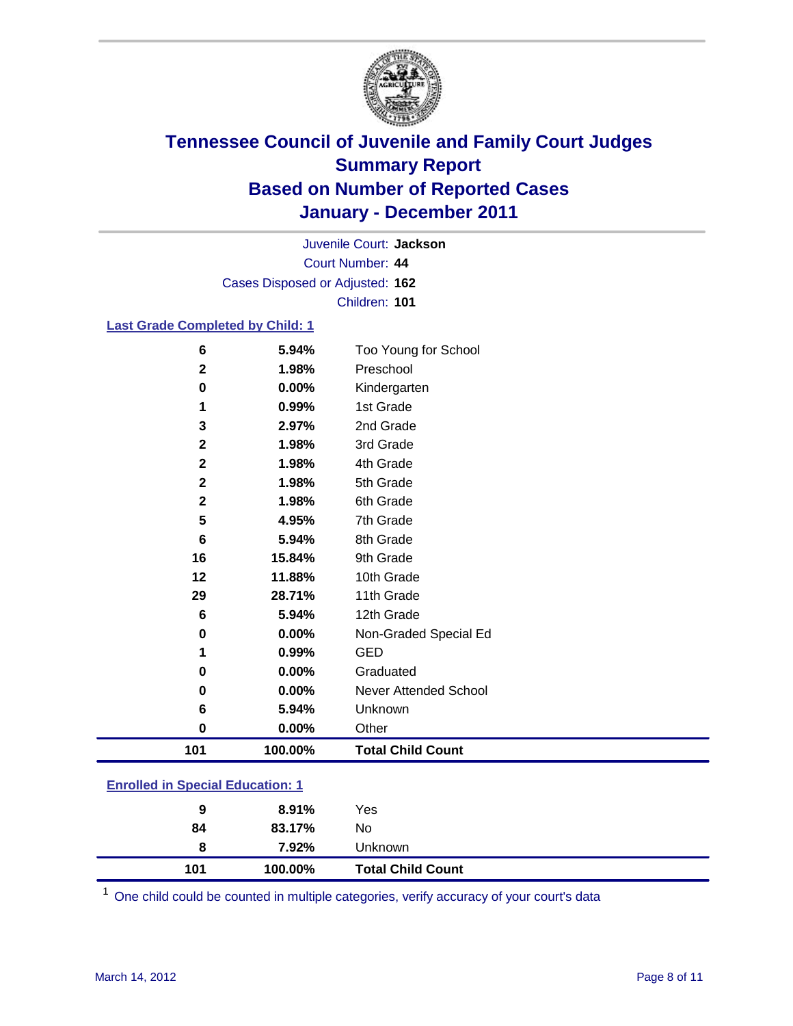

Court Number: **44** Juvenile Court: **Jackson** Cases Disposed or Adjusted: **162** Children: **101**

### **Last Grade Completed by Child: 1**

| 101          | 100.00%        | <b>Total Child Count</b>     |
|--------------|----------------|------------------------------|
| 0            | 0.00%          | Other                        |
| 6            | 5.94%          | Unknown                      |
| 0            | 0.00%          | <b>Never Attended School</b> |
| 0            | 0.00%          | Graduated                    |
| 1            | 0.99%          | <b>GED</b>                   |
| 0            | 0.00%          | Non-Graded Special Ed        |
| 6            | 5.94%          | 12th Grade                   |
| 29           | 28.71%         | 11th Grade                   |
| 12           | 11.88%         | 10th Grade                   |
| 16           | 15.84%         | 9th Grade                    |
| 6            | 5.94%          | 8th Grade                    |
| 5            | 4.95%          | 7th Grade                    |
| $\mathbf{2}$ | 1.98%          | 6th Grade                    |
| $\mathbf 2$  | 1.98%          | 5th Grade                    |
| $\mathbf 2$  | 1.98%          | 4th Grade                    |
| $\mathbf{2}$ | 1.98%          | 3rd Grade                    |
| 1<br>3       | 2.97%          | 2nd Grade                    |
| 0            | 0.00%<br>0.99% | Kindergarten<br>1st Grade    |
| $\mathbf{2}$ | 1.98%          | Preschool                    |
| 6            | 5.94%          | Too Young for School         |

| 101 | 100.00%  | <b>Total Child Count</b> |  |  |
|-----|----------|--------------------------|--|--|
| 8   | 7.92%    | Unknown                  |  |  |
| 84  | 83.17%   | No                       |  |  |
| 9   | $8.91\%$ | Yes                      |  |  |
|     |          |                          |  |  |

One child could be counted in multiple categories, verify accuracy of your court's data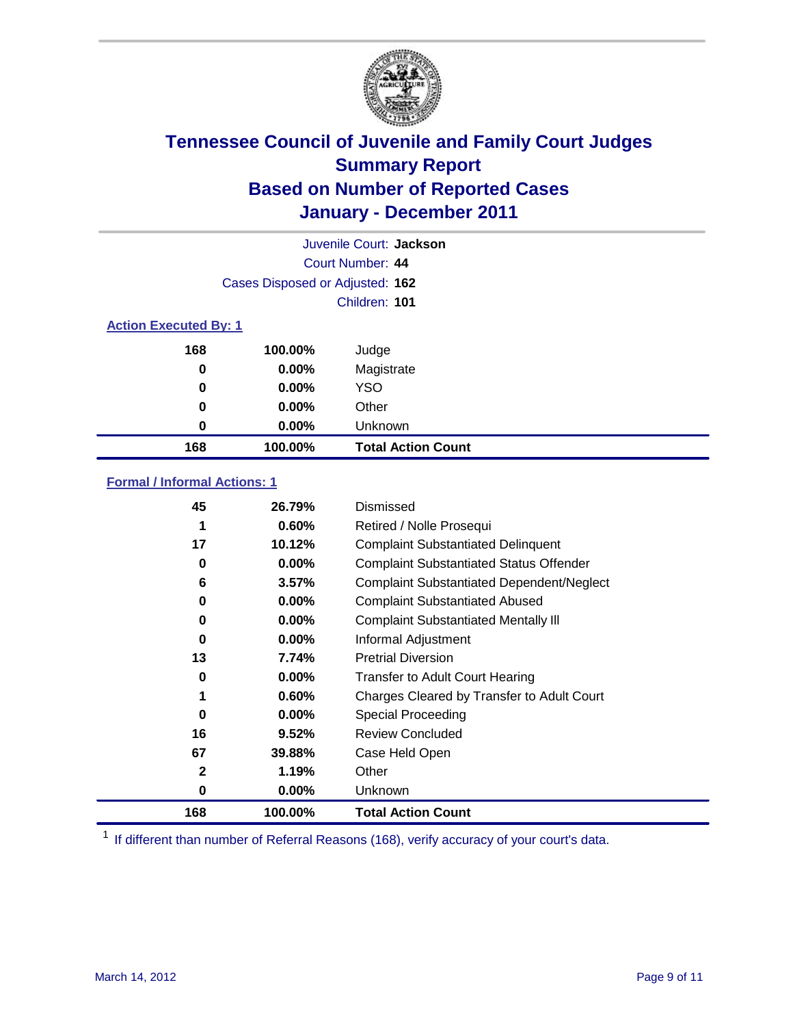

|          | Juvenile Court: Jackson         |                           |  |  |  |
|----------|---------------------------------|---------------------------|--|--|--|
|          |                                 | Court Number: 44          |  |  |  |
|          | Cases Disposed or Adjusted: 162 |                           |  |  |  |
|          |                                 | Children: 101             |  |  |  |
|          | <b>Action Executed By: 1</b>    |                           |  |  |  |
| 168      | 100.00%                         | Judge                     |  |  |  |
| $\bf{0}$ | $0.00\%$                        | Magistrate                |  |  |  |
| $\bf{0}$ | $0.00\%$                        | <b>YSO</b>                |  |  |  |
| 0        | 0.00%                           | Other                     |  |  |  |
| 0        | 0.00%                           | Unknown                   |  |  |  |
| 168      | 100.00%                         | <b>Total Action Count</b> |  |  |  |

### **Formal / Informal Actions: 1**

| 45           | 26.79%   | Dismissed                                        |
|--------------|----------|--------------------------------------------------|
|              | 0.60%    | Retired / Nolle Prosequi                         |
| 17           | 10.12%   | <b>Complaint Substantiated Delinquent</b>        |
| 0            | $0.00\%$ | <b>Complaint Substantiated Status Offender</b>   |
| 6            | 3.57%    | <b>Complaint Substantiated Dependent/Neglect</b> |
| 0            | 0.00%    | <b>Complaint Substantiated Abused</b>            |
| 0            | $0.00\%$ | <b>Complaint Substantiated Mentally III</b>      |
| $\bf{0}$     | $0.00\%$ | Informal Adjustment                              |
| 13           | 7.74%    | <b>Pretrial Diversion</b>                        |
| 0            | $0.00\%$ | <b>Transfer to Adult Court Hearing</b>           |
|              | 0.60%    | Charges Cleared by Transfer to Adult Court       |
| 0            | $0.00\%$ | Special Proceeding                               |
| 16           | 9.52%    | <b>Review Concluded</b>                          |
| 67           | 39.88%   | Case Held Open                                   |
| $\mathbf{2}$ | 1.19%    | Other                                            |
| 0            | $0.00\%$ | <b>Unknown</b>                                   |
| 168          | 100.00%  | <b>Total Action Count</b>                        |

<sup>1</sup> If different than number of Referral Reasons (168), verify accuracy of your court's data.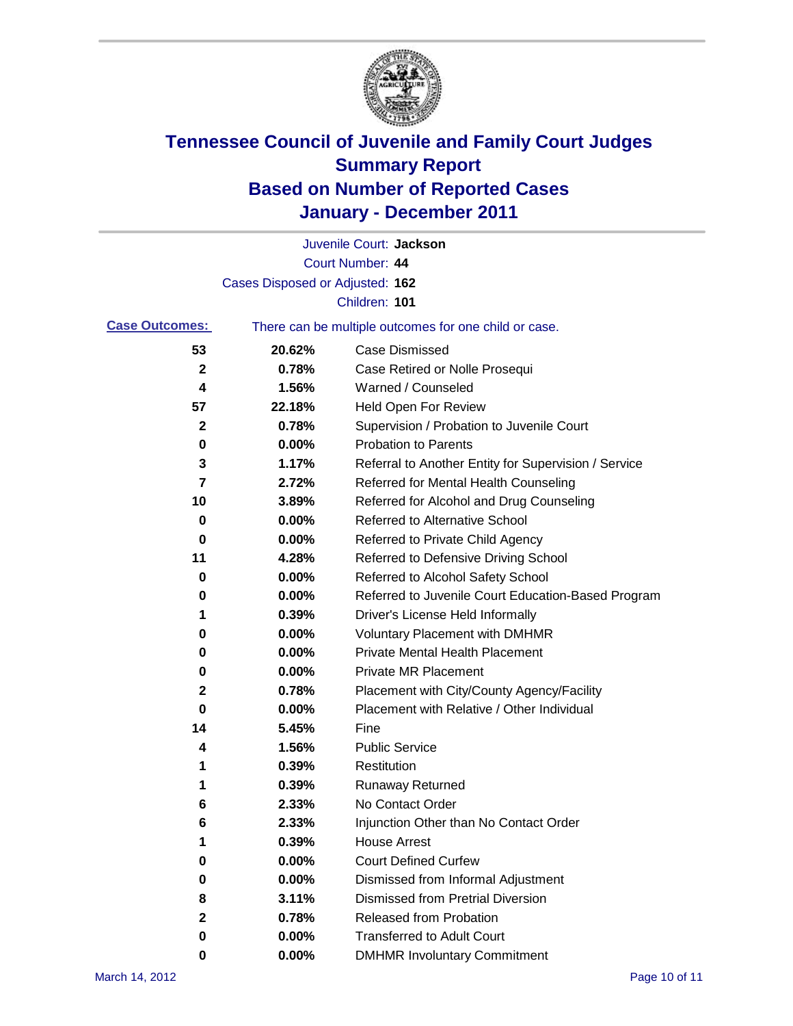

|                       |                                 | Juvenile Court: Jackson                               |
|-----------------------|---------------------------------|-------------------------------------------------------|
|                       |                                 | <b>Court Number: 44</b>                               |
|                       | Cases Disposed or Adjusted: 162 |                                                       |
|                       |                                 | Children: 101                                         |
| <b>Case Outcomes:</b> |                                 | There can be multiple outcomes for one child or case. |
| 53                    | 20.62%                          | <b>Case Dismissed</b>                                 |
| 2                     | 0.78%                           | Case Retired or Nolle Prosequi                        |
| 4                     | 1.56%                           | Warned / Counseled                                    |
| 57                    | 22.18%                          | Held Open For Review                                  |
| $\mathbf{2}$          | 0.78%                           | Supervision / Probation to Juvenile Court             |
| 0                     | 0.00%                           | <b>Probation to Parents</b>                           |
| 3                     | 1.17%                           | Referral to Another Entity for Supervision / Service  |
| 7                     | 2.72%                           | Referred for Mental Health Counseling                 |
| 10                    | 3.89%                           | Referred for Alcohol and Drug Counseling              |
| 0                     | 0.00%                           | Referred to Alternative School                        |
| 0                     | 0.00%                           | Referred to Private Child Agency                      |
| 11                    | 4.28%                           | Referred to Defensive Driving School                  |
| 0                     | 0.00%                           | Referred to Alcohol Safety School                     |
| 0                     | 0.00%                           | Referred to Juvenile Court Education-Based Program    |
| 1                     | 0.39%                           | Driver's License Held Informally                      |
| 0                     | 0.00%                           | <b>Voluntary Placement with DMHMR</b>                 |
| 0                     | 0.00%                           | <b>Private Mental Health Placement</b>                |
| 0                     | 0.00%                           | <b>Private MR Placement</b>                           |
| 2                     | 0.78%                           | Placement with City/County Agency/Facility            |
| 0                     | 0.00%                           | Placement with Relative / Other Individual            |
| 14                    | 5.45%                           | Fine                                                  |
| 4                     | 1.56%                           | <b>Public Service</b>                                 |
| 1                     | 0.39%                           | Restitution                                           |
| 1                     | 0.39%                           | <b>Runaway Returned</b>                               |
| 6                     | 2.33%                           | No Contact Order                                      |
| 6                     | 2.33%                           | Injunction Other than No Contact Order                |
|                       | 0.39%                           | <b>House Arrest</b>                                   |
| 0                     | 0.00%                           | <b>Court Defined Curfew</b>                           |
| 0                     | 0.00%                           | Dismissed from Informal Adjustment                    |
| 8                     | 3.11%                           | <b>Dismissed from Pretrial Diversion</b>              |
| 2                     | 0.78%                           | Released from Probation                               |
| 0                     | $0.00\%$                        | <b>Transferred to Adult Court</b>                     |
| 0                     | 0.00%                           | <b>DMHMR Involuntary Commitment</b>                   |